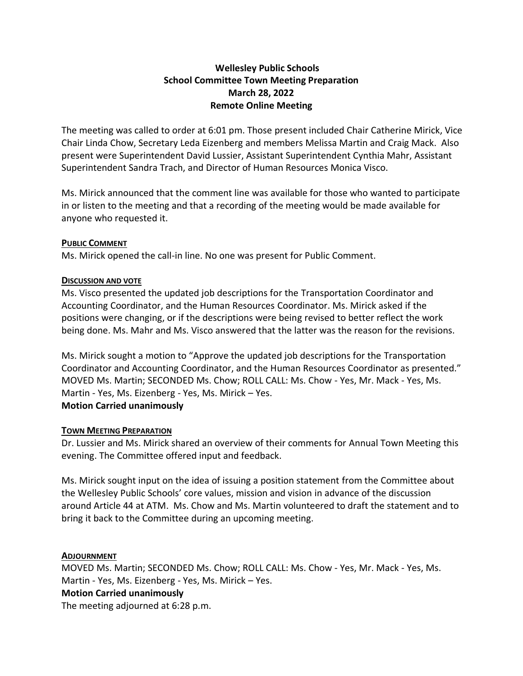# **Wellesley Public Schools School Committee Town Meeting Preparation March 28, 2022 Remote Online Meeting**

The meeting was called to order at 6:01 pm. Those present included Chair Catherine Mirick, Vice Chair Linda Chow, Secretary Leda Eizenberg and members Melissa Martin and Craig Mack. Also present were Superintendent David Lussier, Assistant Superintendent Cynthia Mahr, Assistant Superintendent Sandra Trach, and Director of Human Resources Monica Visco.

Ms. Mirick announced that the comment line was available for those who wanted to participate in or listen to the meeting and that a recording of the meeting would be made available for anyone who requested it.

# **PUBLIC COMMENT**

Ms. Mirick opened the call-in line. No one was present for Public Comment.

### **DISCUSSION AND VOTE**

Ms. Visco presented the updated job descriptions for the Transportation Coordinator and Accounting Coordinator, and the Human Resources Coordinator. Ms. Mirick asked if the positions were changing, or if the descriptions were being revised to better reflect the work being done. Ms. Mahr and Ms. Visco answered that the latter was the reason for the revisions.

Ms. Mirick sought a motion to "Approve the updated job descriptions for the Transportation Coordinator and Accounting Coordinator, and the Human Resources Coordinator as presented." MOVED Ms. Martin; SECONDED Ms. Chow; ROLL CALL: Ms. Chow - Yes, Mr. Mack - Yes, Ms. Martin - Yes, Ms. Eizenberg - Yes, Ms. Mirick – Yes. **Motion Carried unanimously**

# **TOWN MEETING PREPARATION**

Dr. Lussier and Ms. Mirick shared an overview of their comments for Annual Town Meeting this evening. The Committee offered input and feedback.

Ms. Mirick sought input on the idea of issuing a position statement from the Committee about the Wellesley Public Schools' core values, mission and vision in advance of the discussion around Article 44 at ATM. Ms. Chow and Ms. Martin volunteered to draft the statement and to bring it back to the Committee during an upcoming meeting.

# **ADJOURNMENT**

MOVED Ms. Martin; SECONDED Ms. Chow; ROLL CALL: Ms. Chow - Yes, Mr. Mack - Yes, Ms. Martin - Yes, Ms. Eizenberg - Yes, Ms. Mirick – Yes. **Motion Carried unanimously** The meeting adjourned at 6:28 p.m.